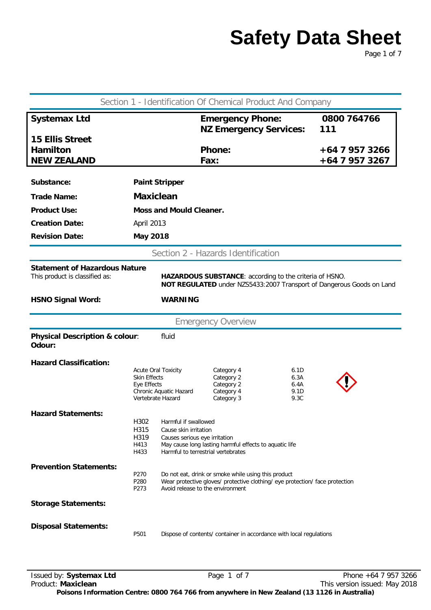Page 1 of 7

| Section 1 - Identification Of Chemical Product And Company                                                                                                                                                 |                                                                                |                                                                                                                      |                                                                                                                                     |                                      |                                  |
|------------------------------------------------------------------------------------------------------------------------------------------------------------------------------------------------------------|--------------------------------------------------------------------------------|----------------------------------------------------------------------------------------------------------------------|-------------------------------------------------------------------------------------------------------------------------------------|--------------------------------------|----------------------------------|
| <b>Systemax Ltd</b>                                                                                                                                                                                        |                                                                                |                                                                                                                      | <b>Emergency Phone:</b><br><b>NZ Emergency Services:</b>                                                                            |                                      | 0800 764766<br>111               |
| <b>15 Ellis Street</b><br><b>Hamilton</b><br><b>NEW ZEALAND</b>                                                                                                                                            |                                                                                |                                                                                                                      | <b>Phone:</b><br>Fax:                                                                                                               |                                      | +64 7 957 3266<br>+64 7 957 3267 |
| Substance:                                                                                                                                                                                                 |                                                                                | <b>Paint Stripper</b>                                                                                                |                                                                                                                                     |                                      |                                  |
| <b>Trade Name:</b>                                                                                                                                                                                         | <b>Maxiclean</b>                                                               |                                                                                                                      |                                                                                                                                     |                                      |                                  |
| <b>Product Use:</b>                                                                                                                                                                                        |                                                                                | <b>Moss and Mould Cleaner.</b>                                                                                       |                                                                                                                                     |                                      |                                  |
| <b>Creation Date:</b>                                                                                                                                                                                      | April 2013                                                                     |                                                                                                                      |                                                                                                                                     |                                      |                                  |
| <b>Revision Date:</b>                                                                                                                                                                                      | <b>May 2018</b>                                                                |                                                                                                                      |                                                                                                                                     |                                      |                                  |
|                                                                                                                                                                                                            |                                                                                |                                                                                                                      | Section 2 - Hazards Identification                                                                                                  |                                      |                                  |
| <b>Statement of Hazardous Nature</b><br>This product is classified as:<br>HAZARDOUS SUBSTANCE: according to the criteria of HSNO.<br>NOT REGULATED under NZS5433:2007 Transport of Dangerous Goods on Land |                                                                                |                                                                                                                      |                                                                                                                                     |                                      |                                  |
| <b>HSNO Signal Word:</b>                                                                                                                                                                                   |                                                                                | <b>WARNING</b>                                                                                                       |                                                                                                                                     |                                      |                                  |
|                                                                                                                                                                                                            |                                                                                |                                                                                                                      | <b>Emergency Overview</b>                                                                                                           |                                      |                                  |
| Physical Description & colour:<br>fluid<br>Odour:                                                                                                                                                          |                                                                                |                                                                                                                      |                                                                                                                                     |                                      |                                  |
| <b>Hazard Classification:</b>                                                                                                                                                                              | <b>Acute Oral Toxicity</b><br>Skin Effects<br>Eye Effects<br>Vertebrate Hazard | Chronic Aquatic Hazard                                                                                               | Category 4<br>Category 2<br>Category 2<br>Category 4<br>Category 3                                                                  | 6.1D<br>6.3A<br>6.4A<br>9.1D<br>9.3C |                                  |
| <b>Hazard Statements:</b>                                                                                                                                                                                  | H302<br>H315<br>H319<br>H413<br>H433                                           | Harmful if swallowed<br>Cause skin irritation<br>Causes serious eye irritation<br>Harmful to terrestrial vertebrates | May cause long lasting harmful effects to aquatic life                                                                              |                                      |                                  |
| <b>Prevention Statements:</b>                                                                                                                                                                              | P270<br>P280<br>P273                                                           | Avoid release to the environment                                                                                     | Do not eat, drink or smoke while using this product<br>Wear protective gloves/ protective clothing/ eye protection/ face protection |                                      |                                  |
| <b>Storage Statements:</b>                                                                                                                                                                                 |                                                                                |                                                                                                                      |                                                                                                                                     |                                      |                                  |
| <b>Disposal Statements:</b>                                                                                                                                                                                | P501                                                                           |                                                                                                                      | Dispose of contents/ container in accordance with local regulations                                                                 |                                      |                                  |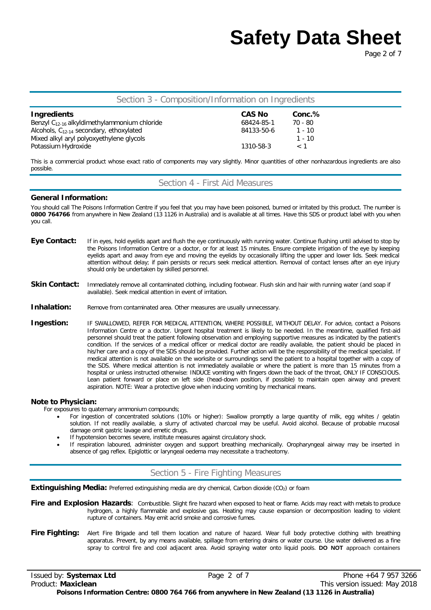Page 2 of 7

### Section 3 - Composition/Information on Ingredients

| <b>Ingredients</b>                                | <b>CAS No</b> | Conc.%   |
|---------------------------------------------------|---------------|----------|
| Benzyl $C_{12-16}$ alkyldimethylammonium chloride | 68424-85-1    | 70 - 80  |
| Alcohols, $C_{12-14}$ secondary, ethoxylated      | 84133-50-6    | $1 - 10$ |
| Mixed alkyl aryl polyoxyethylene glycols          |               | $1 - 10$ |
| Potassium Hydroxide                               | 1310-58-3     | $\lt$ 1  |

This is a commercial product whose exact ratio of components may vary slightly. Minor quantities of other nonhazardous ingredients are also possible.

Section 4 - First Aid Measures

#### **General Information:**

You should call The Poisons Information Centre if you feel that you may have been poisoned, burned or irritated by this product. The number is **0800 764766** from anywhere in New Zealand (13 1126 in Australia) and is available at all times. Have this SDS or product label with you when you call.

- Eye Contact: If in eyes, hold eyelids apart and flush the eye continuously with running water. Continue flushing until advised to stop by the Poisons Information Centre or a doctor, or for at least 15 minutes. Ensure complete irrigation of the eye by keeping eyelids apart and away from eye and moving the eyelids by occasionally lifting the upper and lower lids. Seek medical attention without delay; if pain persists or recurs seek medical attention. Removal of contact lenses after an eye injury should only be undertaken by skilled personnel.
- Skin Contact: Immediately remove all contaminated clothing, including footwear. Flush skin and hair with running water (and soap if available). Seek medical attention in event of irritation.
- **Inhalation:** Remove from contaminated area. Other measures are usually unnecessary.
- **Ingestion:** IF SWALLOWED, REFER FOR MEDICAL ATTENTION, WHERE POSSIBLE, WITHOUT DELAY. For advice, contact a Poisons Information Centre or a doctor. Urgent hospital treatment is likely to be needed. In the meantime, qualified first-aid personnel should treat the patient following observation and employing supportive measures as indicated by the patient's condition. If the services of a medical officer or medical doctor are readily available, the patient should be placed in his/her care and a copy of the SDS should be provided. Further action will be the responsibility of the medical specialist. If medical attention is not available on the worksite or surroundings send the patient to a hospital together with a copy of the SDS. Where medical attention is not immediately available or where the patient is more than 15 minutes from a hospital or unless instructed otherwise: INDUCE vomiting with fingers down the back of the throat, ONLY IF CONSCIOUS. Lean patient forward or place on left side (head-down position, if possible) to maintain open airway and prevent aspiration. NOTE: Wear a protective glove when inducing vomiting by mechanical means.

#### **Note to Physician:**

For exposures to quaternary ammonium compounds;

- For ingestion of concentrated solutions (10% or higher): Swallow promptly a large quantity of milk, egg whites / gelatin solution. If not readily available, a slurry of activated charcoal may be useful. Avoid alcohol. Because of probable mucosal damage omit gastric lavage and emetic drugs.
- If hypotension becomes severe, institute measures against circulatory shock.
- If respiration laboured, administer oxygen and support breathing mechanically. Oropharyngeal airway may be inserted in absence of gag reflex. Epiglottic or laryngeal oedema may necessitate a tracheotomy.

## Section 5 - Fire Fighting Measures

**Extinguishing Media:** Preferred extinguishing media are dry chemical, Carbon dioxide (CO<sub>2</sub>) or foam

Fire and Explosion Hazards: Combustible. Slight fire hazard when exposed to heat or flame. Acids may react with metals to produce hydrogen, a highly flammable and explosive gas. Heating may cause expansion or decomposition leading to violent rupture of containers. May emit acrid smoke and corrosive fumes.

Fire Fighting: Alert Fire Brigade and tell them location and nature of hazard. Wear full body protective clothing with breathing apparatus. Prevent, by any means available, spillage from entering drains or water course. Use water delivered as a fine spray to control fire and cool adjacent area. Avoid spraying water onto liquid pools. **DO NOT** approach containers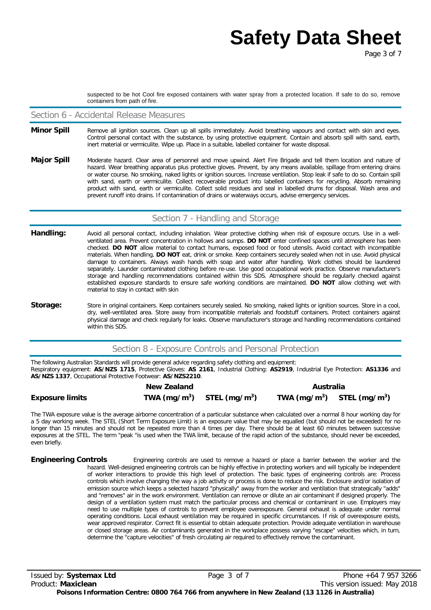suspected to be hot Cool fire exposed containers with water spray from a protected location. If safe to do so, remove containers from path of fire.

#### Section 6 - Accidental Release Measures

- Minor Spill Remove all ignition sources. Clean up all spills immediately. Avoid breathing vapours and contact with skin and eyes. Control personal contact with the substance, by using protective equipment. Contain and absorb spill with sand, earth, inert material or vermiculite. Wipe up. Place in a suitable, labelled container for waste disposal.
- Major Spill Moderate hazard. Clear area of personnel and move upwind. Alert Fire Brigade and tell them location and nature of hazard. Wear breathing apparatus plus protective gloves. Prevent, by any means available, spillage from entering drains or water course. No smoking, naked lights or ignition sources. Increase ventilation. Stop leak if safe to do so. Contain spill with sand, earth or vermiculite. Collect recoverable product into labelled containers for recycling. Absorb remaining product with sand, earth or vermiculite. Collect solid residues and seal in labelled drums for disposal. Wash area and prevent runoff into drains. If contamination of drains or waterways occurs, advise emergency services.

### Section 7 - Handling and Storage

- Handling: Avoid all personal contact, including inhalation. Wear protective clothing when risk of exposure occurs. Use in a wellventilated area. Prevent concentration in hollows and sumps. **DO NOT** enter confined spaces until atmosphere has been checked. **DO NOT** allow material to contact humans, exposed food or food utensils. Avoid contact with incompatible materials. When handling, **DO NOT** eat, drink or smoke. Keep containers securely sealed when not in use. Avoid physical damage to containers. Always wash hands with soap and water after handling. Work clothes should be laundered separately. Launder contaminated clothing before re-use. Use good occupational work practice. Observe manufacturer's storage and handling recommendations contained within this SDS. Atmosphere should be regularly checked against established exposure standards to ensure safe working conditions are maintained. **DO NOT** allow clothing wet with material to stay in contact with skin
- Storage: Store in original containers. Keep containers securely sealed. No smoking, naked lights or ignition sources. Store in a cool, dry, well-ventilated area. Store away from incompatible materials and foodstuff containers. Protect containers against physical damage and check regularly for leaks. Observe manufacturer's storage and handling recommendations contained within this SDS.

### Section 8 - Exposure Controls and Personal Protection

The following Australian Standards will provide general advice regarding safety clothing and equipment: Respiratory equipment: **AS/NZS 1715**, Protective Gloves: **AS 2161**, Industrial Clothing: **AS2919**, Industrial Eye Protection: **AS1336** and **AS/NZS 1337**, Occupational Protective Footwear: **AS/NZS2210**.

|                        | <b>New Zealand</b> |                                | Australia                      |  |
|------------------------|--------------------|--------------------------------|--------------------------------|--|
| <b>Exposure limits</b> |                    | TWA $(mg/m^3)$ STEL $(mg/m^3)$ | TWA $(mg/m^3)$ STEL $(mg/m^3)$ |  |

The TWA exposure value is the average airborne concentration of a particular substance when calculated over a normal 8 hour working day for a 5 day working week. The STEL (Short Term Exposure Limit) is an exposure value that may be equalled (but should not be exceeded) for no longer than 15 minutes and should not be repeated more than 4 times per day. There should be at least 60 minutes between successive exposures at the STEL. The term "peak "is used when the TWA limit, because of the rapid action of the substance, should never be exceeded, even briefly.

**Engineering Controls** Engineering controls are used to remove a hazard or place a barrier between the worker and the hazard. Well-designed engineering controls can be highly effective in protecting workers and will typically be independent of worker interactions to provide this high level of protection. The basic types of engineering controls are: Process controls which involve changing the way a job activity or process is done to reduce the risk. Enclosure and/or isolation of emission source which keeps a selected hazard "physically" away from the worker and ventilation that strategically "adds" and "removes" air in the work environment. Ventilation can remove or dilute an air contaminant if designed properly. The design of a ventilation system must match the particular process and chemical or contaminant in use. Employers may need to use multiple types of controls to prevent employee overexposure. General exhaust is adequate under normal operating conditions. Local exhaust ventilation may be required in specific circumstances. If risk of overexposure exists, wear approved respirator. Correct fit is essential to obtain adequate protection. Provide adequate ventilation in warehouse or closed storage areas. Air contaminants generated in the workplace possess varying "escape" velocities which, in turn, determine the "capture velocities" of fresh circulating air required to effectively remove the contaminant.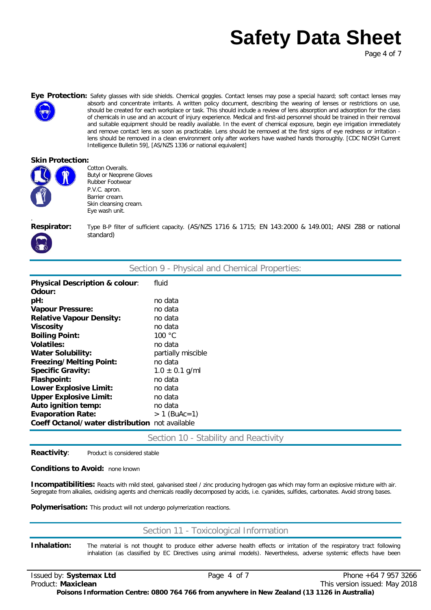Page 4 of 7



Eye Protection: Safety glasses with side shields. Chemical goggles. Contact lenses may pose a special hazard; soft contact lenses may absorb and concentrate irritants. A written policy document, describing the wearing of lenses or restrictions on use, should be created for each workplace or task. This should include a review of lens absorption and adsorption for the class of chemicals in use and an account of injury experience. Medical and first-aid personnel should be trained in their removal and suitable equipment should be readily available. In the event of chemical exposure, begin eye irrigation immediately and remove contact lens as soon as practicable. Lens should be removed at the first signs of eye redness or irritation lens should be removed in a clean environment only after workers have washed hands thoroughly. [CDC NIOSH Current Intelligence Bulletin 59], [AS/NZS 1336 or national equivalent]

#### **Skin Protection:**



Cotton Overalls. Butyl or Neoprene Gloves Rubber Footwear P.V.C. apron. Barrier cream. Skin cleansing cream. Eye wash unit.

.

**Respirator:** Type B-P filter of sufficient capacity. (AS/NZS 1716 & 1715; EN 143:2000 & 149.001; ANSI Z88 or national standard)

| Section 9 - Physical and Chemical Properties:  |                    |  |
|------------------------------------------------|--------------------|--|
| Physical Description & colour:                 | fluid              |  |
| Odour:                                         |                    |  |
| pH:                                            | no data            |  |
| <b>Vapour Pressure:</b>                        | no data            |  |
| <b>Relative Vapour Density:</b>                | no data            |  |
| <b>Viscosity</b>                               | no data            |  |
| <b>Boiling Point:</b>                          | 100 $\degree$ C    |  |
| <b>Volatiles:</b>                              | no data            |  |
| <b>Water Solubility:</b>                       | partially miscible |  |
| <b>Freezing/Melting Point:</b>                 | no data            |  |
| <b>Specific Gravity:</b>                       | $1.0 \pm 0.1$ g/ml |  |
| Flashpoint:                                    | no data            |  |
| <b>Lower Explosive Limit:</b>                  | no data            |  |
| <b>Upper Explosive Limit:</b>                  | no data            |  |
| Auto ignition temp:                            | no data            |  |
| <b>Evaporation Rate:</b>                       | $> 1$ (BuAc=1)     |  |
| Coeff Octanol/water distribution not available |                    |  |

Section 10 - Stability and Reactivity

**Reactivity:** Product is considered stable

#### **Conditions to Avoid:** none known

**Incompatibilities:** Reacts with mild steel, galvanised steel / zinc producing hydrogen gas which may form an explosive mixture with air. Segregate from alkalies, oxidising agents and chemicals readily decomposed by acids, i.e. cyanides, sulfides, carbonates. Avoid strong bases.

**Polymerisation:** This product will not undergo polymerization reactions.

## Section 11 - Toxicological Information

**Inhalation:** The material is not thought to produce either adverse health effects or irritation of the respiratory tract following inhalation (as classified by EC Directives using animal models). Nevertheless, adverse systemic effects have been

Issued by: **Systemax Ltd** Page4 of 7 Phone +64 7 957 3266 Product: **Maxiclean** This version issued: May 2018 **Poisons Information Centre: 0800 764 766 from anywhere in New Zealand (13 1126 in Australia)**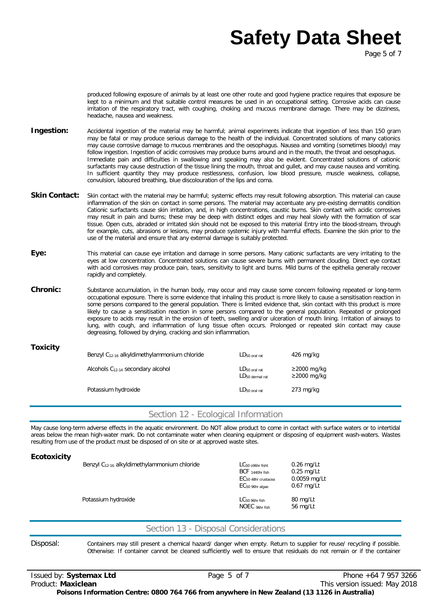Page 5 of 7

produced following exposure of animals by at least one other route and good hygiene practice requires that exposure be kept to a minimum and that suitable control measures be used in an occupational setting. Corrosive acids can cause irritation of the respiratory tract, with coughing, choking and mucous membrane damage. There may be dizziness, headache, nausea and weakness.

- **Ingestion:** Accidental ingestion of the material may be harmful; animal experiments indicate that ingestion of less than 150 gram may be fatal or may produce serious damage to the health of the individual. Concentrated solutions of many cationics may cause corrosive damage to mucous membranes and the oesophagus. Nausea and vomiting (sometimes bloody) may follow ingestion. Ingestion of acidic corrosives may produce burns around and in the mouth, the throat and oesophagus. Immediate pain and difficulties in swallowing and speaking may also be evident. Concentrated solutions of cationic surfactants may cause destruction of the tissue lining the mouth, throat and gullet, and may cause nausea and vomiting. In sufficient quantity they may produce restlessness, confusion, low blood pressure, muscle weakness, collapse, convulsion, laboured breathing, blue discolouration of the lips and coma.
- Skin Contact: Skin contact with the material may be harmful; systemic effects may result following absorption. This material can cause inflammation of the skin on contact in some persons. The material may accentuate any pre-existing dermatitis condition Cationic surfactants cause skin irritation, and, in high concentrations, caustic burns. Skin contact with acidic corrosives may result in pain and burns; these may be deep with distinct edges and may heal slowly with the formation of scar tissue. Open cuts, abraded or irritated skin should not be exposed to this material Entry into the blood-stream, through for example, cuts, abrasions or lesions, may produce systemic injury with harmful effects. Examine the skin prior to the use of the material and ensure that any external damage is suitably protected.
- **Eye:** This material can cause eye irritation and damage in some persons. Many cationic surfactants are very irritating to the eyes at low concentration. Concentrated solutions can cause severe burns with permanent clouding. Direct eye contact with acid corrosives may produce pain, tears, sensitivity to light and burns. Mild burns of the epithelia generally recover rapidly and completely.
- **Chronic:** Substance accumulation, in the human body, may occur and may cause some concern following repeated or long-term occupational exposure. There is some evidence that inhaling this product is more likely to cause a sensitisation reaction in some persons compared to the general population. There is limited evidence that, skin contact with this product is more likely to cause a sensitisation reaction in some persons compared to the general population. Repeated or prolonged exposure to acids may result in the erosion of teeth, swelling and/or ulceration of mouth lining. Irritation of airways to lung, with cough, and inflammation of lung tissue often occurs. Prolonged or repeated skin contact may cause degreasing, followed by drying, cracking and skin inflammation.

| <b>Toxicity</b> | Benzyl $C_{12-16}$ alkyldimethylammonium chloride | $LD_{50 \text{ oral rat}}$                        | $426$ mg/kg                            |
|-----------------|---------------------------------------------------|---------------------------------------------------|----------------------------------------|
|                 | Alcohols C <sub>12-14</sub> secondary alcohol     | $LD_{50}$ oral rat<br>LD <sub>50</sub> dermal rat | $\geq$ 2000 mg/kg<br>$\geq$ 2000 mg/kg |
|                 | Potassium hydroxide                               | $LD_{50}$ oral rat                                | $273 \text{ mg/kg}$                    |

## Section 12 - Ecological Information

May cause long-term adverse effects in the aquatic environment. Do NOT allow product to come in contact with surface waters or to intertidal areas below the mean high-water mark. Do not contaminate water when cleaning equipment or disposing of equipment wash-waters. Wastes resulting from use of the product must be disposed of on site or at approved waste sites.

| <b>Ecotoxicity</b> | Benzyl $C_{12-16}$ alkyldimethylammonium chloride | $LC_{50}$ 096hr fisht<br>BCF 1440hr fish<br>EC <sub>50</sub> 48hr crustacea<br>EC <sub>50</sub> 96hr algae | $0.26$ mg/Lt<br>$0.25$ mg/Lt<br>0.0059 mg/Lt<br>$0.67$ mg/Lt |
|--------------------|---------------------------------------------------|------------------------------------------------------------------------------------------------------------|--------------------------------------------------------------|
|                    | Potassium hydroxide                               | $LC_{50}$ 96hr fish<br>NOEC 96hr fish                                                                      | 80 mg/Lt<br>56 mg/Lt                                         |

## Section 13 - Disposal Considerations

Disposal: Containers may still present a chemical hazard/ danger when empty. Return to supplier for reuse/ recycling if possible. Otherwise: If container cannot be cleaned sufficiently well to ensure that residuals do not remain or if the container

Issued by: **Systemax Ltd** Page5 of 7 Phone +64 7 957 3266 Product: **Maxiclean** This version issued: May 2018 **Poisons Information Centre: 0800 764 766 from anywhere in New Zealand (13 1126 in Australia)**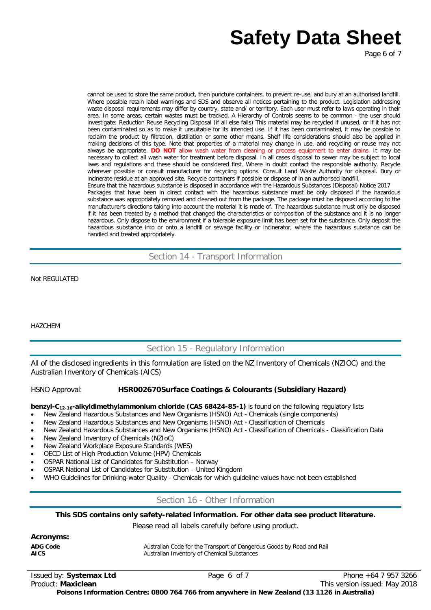Page 6 of 7

cannot be used to store the same product, then puncture containers, to prevent re-use, and bury at an authorised landfill. Where possible retain label warnings and SDS and observe all notices pertaining to the product. Legislation addressing waste disposal requirements may differ by country, state and/ or territory. Each user must refer to laws operating in their area. In some areas, certain wastes must be tracked. A Hierarchy of Controls seems to be common - the user should investigate: Reduction Reuse Recycling Disposal (if all else fails) This material may be recycled if unused, or if it has not been contaminated so as to make it unsuitable for its intended use. If it has been contaminated, it may be possible to reclaim the product by filtration, distillation or some other means. Shelf life considerations should also be applied in making decisions of this type. Note that properties of a material may change in use, and recycling or reuse may not always be appropriate. **DO NOT** allow wash water from cleaning or process equipment to enter drains. It may be necessary to collect all wash water for treatment before disposal. In all cases disposal to sewer may be subject to local laws and regulations and these should be considered first. Where in doubt contact the responsible authority. Recycle wherever possible or consult manufacturer for recycling options. Consult Land Waste Authority for disposal. Bury or incinerate residue at an approved site. Recycle containers if possible or dispose of in an authorised landfill. Ensure that the hazardous substance is disposed in accordance with the Hazardous Substances (Disposal) Notice 2017 Packages that have been in direct contact with the hazardous substance must be only disposed if the hazardous substance was appropriately removed and cleaned out from the package. The package must be disposed according to the manufacturer's directions taking into account the material it is made of. The hazardous substance must only be disposed if it has been treated by a method that changed the characteristics or composition of the substance and it is no longer hazardous. Only dispose to the environment if a tolerable exposure limit has been set for the substance. Only deposit the hazardous substance into or onto a landfill or sewage facility or incinerator, where the hazardous substance can be handled and treated appropriately.

Section 14 - Transport Information

Not REGULATED

HAZCHEM

## Section 15 - Regulatory Information

All of the disclosed ingredients in this formulation are listed on the NZ Inventory of Chemicals (NZIOC) and the Australian Inventory of Chemicals (AICS)

### HSNO Approval: **HSR002670Surface Coatings & Colourants (Subsidiary Hazard)**

**benzyl-C12-16-alkyldimethylammonium chloride (CAS 68424-85-1)** is found on the following regulatory lists

- New Zealand Hazardous Substances and New Organisms (HSNO) Act Chemicals (single components)
- New Zealand Hazardous Substances and New Organisms (HSNO) Act Classification of Chemicals
- New Zealand Hazardous Substances and New Organisms (HSNO) Act Classification of Chemicals Classification Data
- New Zealand Inventory of Chemicals (NZIoC)
- New Zealand Workplace Exposure Standards (WES)
- OECD List of High Production Volume (HPV) Chemicals
- OSPAR National List of Candidates for Substitution Norway
- OSPAR National List of Candidates for Substitution United Kingdom
- WHO Guidelines for Drinking-water Quality Chemicals for which guideline values have not been established

### Section 16 - Other Information

#### **This SDS contains only safety-related information. For other data see product literature.**

Please read all labels carefully before using product.

| Acronyms:       |                                                                       |
|-----------------|-----------------------------------------------------------------------|
| <b>ADG Code</b> | Australian Code for the Transport of Dangerous Goods by Road and Rail |
| <b>AICS</b>     | Australian Inventory of Chemical Substances                           |

Issued by: **Systemax Ltd** Page 6 of 7 Phone +64 7 957 3266 Product: **Maxiclean** This version issued: May 2018 **Poisons Information Centre: 0800 764 766 from anywhere in New Zealand (13 1126 in Australia)**